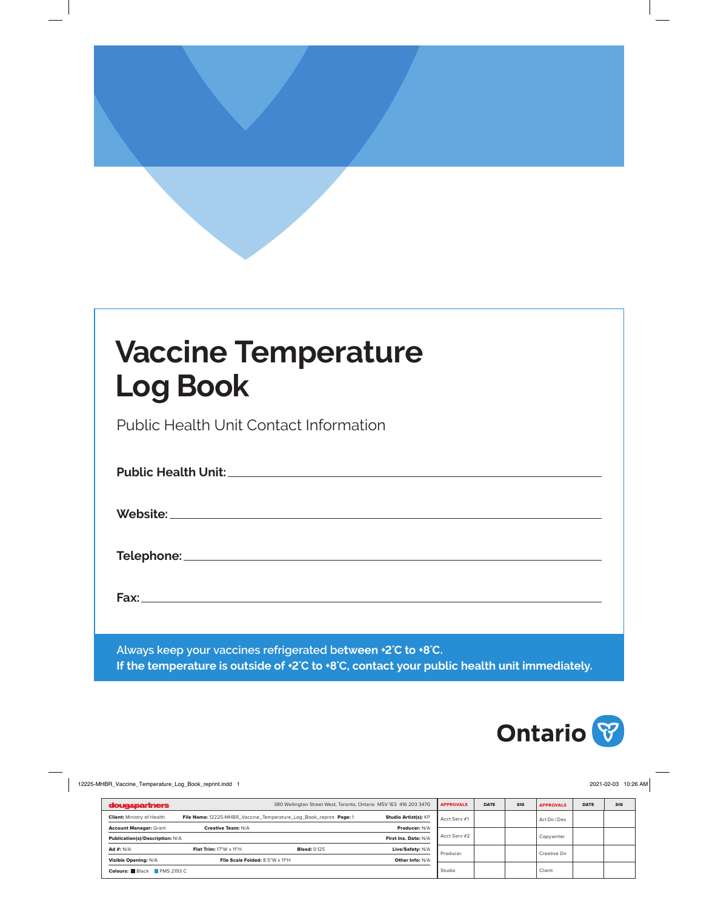# **Vaccine Temperature Log Book**

Public Health Unit Contact Information

| Always keep your vaccines refrigerated between +2°C to +8°C.<br>If the temperature is outside of +2°C to +8°C, contact your public health unit immediately. |
|-------------------------------------------------------------------------------------------------------------------------------------------------------------|

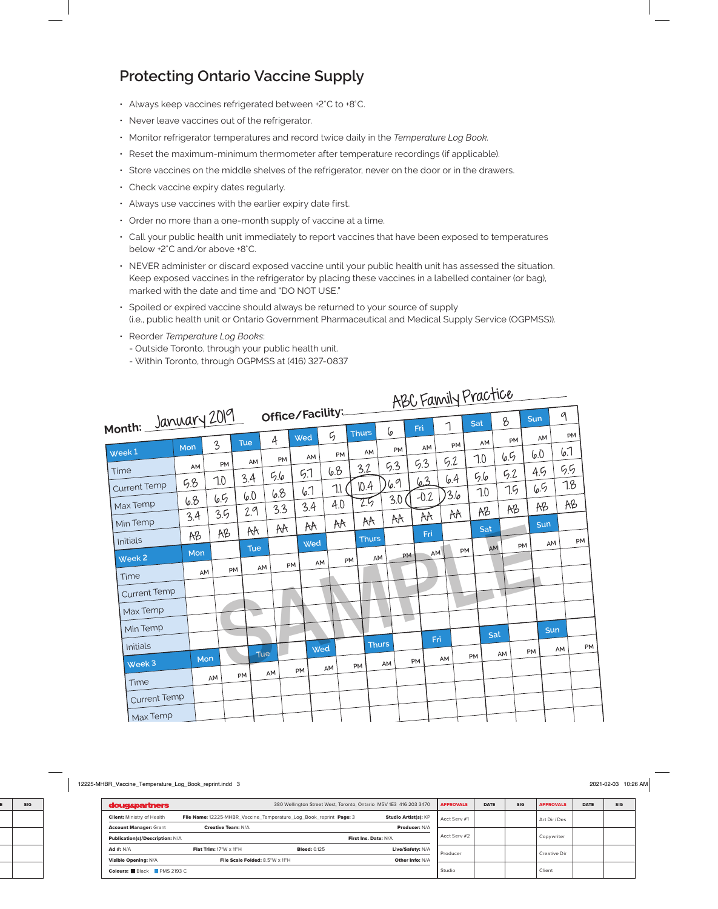### **Protecting Ontario Vaccine Supply**

- Always keep vaccines refrigerated between +2°C to +8°C.
- Never leave vaccines out of the refrigerator.
- Monitor refrigerator temperatures and record twice daily in the *Temperature Log Book.*
- Reset the maximum-minimum thermometer after temperature recordings (if applicable).
- Store vaccines on the middle shelves of the refrigerator, never on the door or in the drawers.
- Check vaccine expiry dates regularly.
- Always use vaccines with the earlier expiry date first.
- Order no more than a one-month supply of vaccine at a time.
- Call your public health unit immediately to report vaccines that have been exposed to temperatures below +2°C and/or above +8°C.
- NEVER administer or discard exposed vaccine until your public health unit has assessed the situation. Keep exposed vaccines in the refrigerator by placing these vaccines in a labelled container (or bag), marked with the date and time and "DO NOT USE."
- Spoiled or expired vaccine should always be returned to your source of supply (i.e., public health unit or Ontario Government Pharmaceutical and Medical Supply Service (OGPMSS)).
- Reorder *Temperature Log Books*:
	- Outside Toronto, through your public health unit.
	- Within Toronto, through OGPMSS at (416) 327-0837

|                             |     |                |            |            |                  |             |            |              |           |        | ABC Family Practice |     |     |     |            |    |
|-----------------------------|-----|----------------|------------|------------|------------------|-------------|------------|--------------|-----------|--------|---------------------|-----|-----|-----|------------|----|
| Month: January 2019         |     |                |            |            | Office/Facility: |             |            |              |           | Fri    | 1                   | Sat | 8   | Sun | 9          |    |
|                             | Mon | $\overline{3}$ | <b>Tue</b> | 4          | Wed              | $\varsigma$ |            | Thurs        | 6         | AM     | PM                  | AM  | PM  | AM  | PM         |    |
| Week <sub>1</sub>           | AM  | PM             | AM         |            | PM               | AM          | PM         | AM           | PM<br>5.3 | 5.3    | 5.2                 | 7.0 | 6.5 | 6.0 | 6.1        |    |
| Time                        | 5.8 | 7.0            | 3.4        | 5.6        | 5.1              | 6.8         |            | 3.2          | 6.9       | 63     | 6.4                 | 5.6 | 5.2 | 4.5 | 5.5<br>7.8 |    |
| <b>Current Temp</b>         | 6.8 | 6.5            | 6.0        | 6.8        | 6.7              |             | 7.1<br>4.0 | 10.4<br>25   | 3.0       | $-0.2$ | 3.6                 | 7.0 | 7.5 | 6.5 | AB         |    |
| Max Temp<br>Min Temp        | 3.4 | 3.5            | 2.9        |            | 3.3              | 3.4         | AA         | A            | AA        | AA     | AA                  | AB  | AB  | AB  |            |    |
| Initials                    | AB  | AB             | AA         |            | AA               | AA<br>Wed   |            | <b>Thurs</b> |           | Fri    |                     | Sat |     | Sun | AM         | PM |
| Week <sub>2</sub>           | Mon |                |            | <b>Tue</b> |                  | AM          | <b>PM</b>  | AM           |           | PM     | AM                  | PM  | AM  | PM  |            |    |
| Time                        | AM  |                | PM         | AM         | PM               |             |            |              |           |        |                     |     |     |     |            |    |
| <b>Current Temp</b>         |     |                |            |            |                  |             |            |              |           |        |                     |     |     |     |            |    |
| Max Temp                    |     |                |            | - 1        |                  |             |            |              |           | V.     |                     |     |     |     |            |    |
| Min Temp                    |     |                |            |            |                  |             |            |              |           |        | Fri                 |     | Sat |     | Sun        |    |
| Initials                    | Mon |                |            | Tue        |                  | Wed         |            | <b>Thurs</b> |           |        | AM                  | PM  | AM  | PM  | AM         | PM |
| Week 3                      |     | AM             | PM         | AM         | PM               | AM          | PM         |              | AM        | PM     |                     |     |     |     |            |    |
| Time<br><b>Current Temp</b> |     |                |            |            |                  |             |            |              |           |        |                     |     |     |     |            |    |
| Max Temp                    |     |                |            |            |                  |             |            |              |           |        |                     |     |     |     |            |    |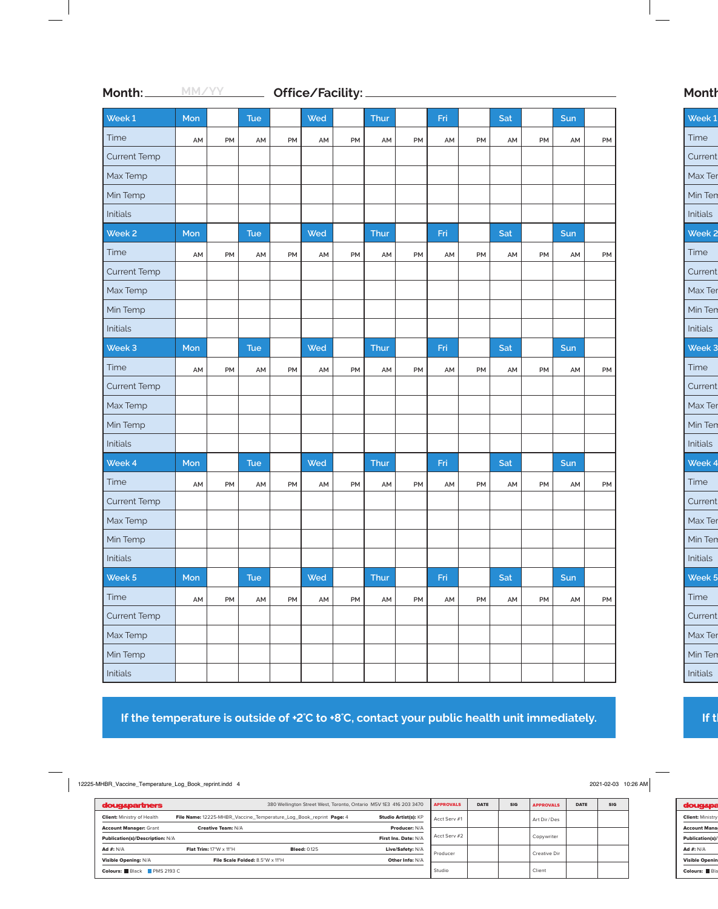| Week 1              | Mon |    | <b>Tue</b> |    | Wed |    | Thur |    | Fri |    | Sat |    | Sun |    |
|---------------------|-----|----|------------|----|-----|----|------|----|-----|----|-----|----|-----|----|
| Time                | AM  | PM | AM         | PM | AM  | PM | AM   | PM | AM  | PM | AM  | PM | AM  | PM |
| <b>Current Temp</b> |     |    |            |    |     |    |      |    |     |    |     |    |     |    |
| Max Temp            |     |    |            |    |     |    |      |    |     |    |     |    |     |    |
| Min Temp            |     |    |            |    |     |    |      |    |     |    |     |    |     |    |
| Initials            |     |    |            |    |     |    |      |    |     |    |     |    |     |    |
| Week <sub>2</sub>   | Mon |    | <b>Tue</b> |    | Wed |    | Thur |    | Fri |    | Sat |    | Sun |    |
| Time                | AM  | PM | AM         | PM | AM  | PM | AM   | PM | AM  | PM | AM  | PM | AM  | PM |
| <b>Current Temp</b> |     |    |            |    |     |    |      |    |     |    |     |    |     |    |
| Max Temp            |     |    |            |    |     |    |      |    |     |    |     |    |     |    |
| Min Temp            |     |    |            |    |     |    |      |    |     |    |     |    |     |    |
| Initials            |     |    |            |    |     |    |      |    |     |    |     |    |     |    |
| Week 3              | Mon |    | Tue        |    | Wed |    | Thur |    | Fri |    | Sat |    | Sun |    |
| Time                | AM  | PM | AM         | PM | AM  | PM | AM   | PM | AM  | PM | AM  | PM | AM  | PM |
| <b>Current Temp</b> |     |    |            |    |     |    |      |    |     |    |     |    |     |    |
| Max Temp            |     |    |            |    |     |    |      |    |     |    |     |    |     |    |
| Min Temp            |     |    |            |    |     |    |      |    |     |    |     |    |     |    |
| Initials            |     |    |            |    |     |    |      |    |     |    |     |    |     |    |
| Week 4              | Mon |    | <b>Tue</b> |    | Wed |    | Thur |    | Fri |    | Sat |    | Sun |    |
| Time                | AM  | PM | AM         | PM | AM  | PM | AM   | PM | AM  | PM | AM  | PM | AM  | PM |
| <b>Current Temp</b> |     |    |            |    |     |    |      |    |     |    |     |    |     |    |
| Max Temp            |     |    |            |    |     |    |      |    |     |    |     |    |     |    |
| Min Temp            |     |    |            |    |     |    |      |    |     |    |     |    |     |    |
| Initials            |     |    |            |    |     |    |      |    |     |    |     |    |     |    |
| Week 5              | Mon |    | Tue        |    | Wed |    | Thur |    | Fri |    | Sat |    | Sun |    |
| Time                | AM  | PM | AM         | PM | AM  | PM | AM   | PM | AM  | PM | AM  | PM | AM  | PM |
| <b>Current Temp</b> |     |    |            |    |     |    |      |    |     |    |     |    |     |    |
| Max Temp            |     |    |            |    |     |    |      |    |     |    |     |    |     |    |
| Min Temp            |     |    |            |    |     |    |      |    |     |    |     |    |     |    |
| Initials            |     |    |            |    |     |    |      |    |     |    |     |    |     |    |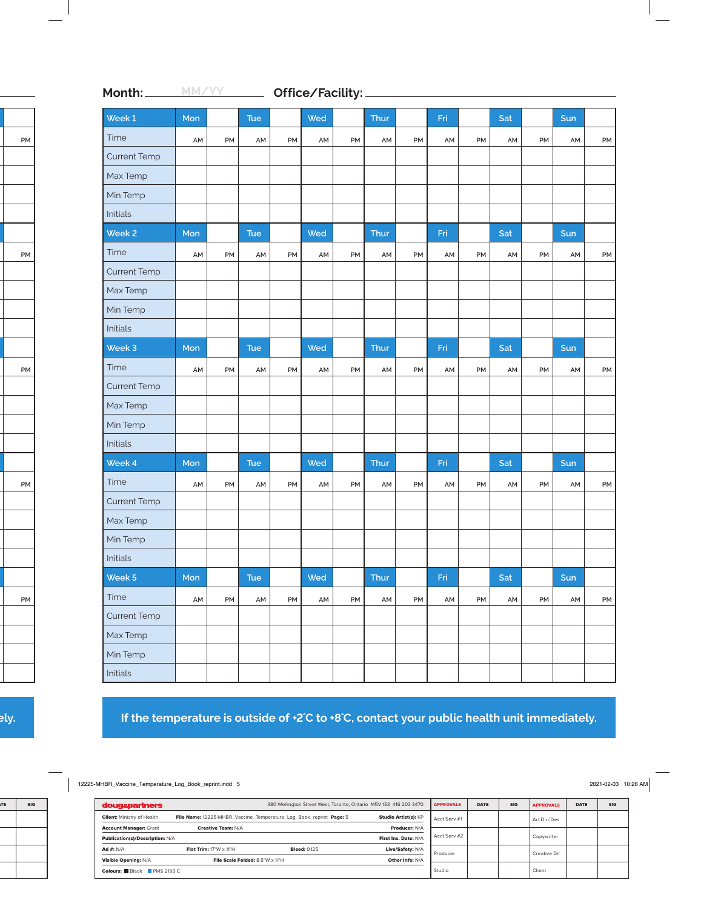| Week 1              | Mon |           | <b>Tue</b> |    | Wed |           | Thur |           | Fri |    | Sat |    | Sun |    |
|---------------------|-----|-----------|------------|----|-----|-----------|------|-----------|-----|----|-----|----|-----|----|
| Time                | AM  | PM        | AM         | PM | AM  | <b>PM</b> | AM   | PM        | AM  | PM | AM  | PM | AM  | PM |
| <b>Current Temp</b> |     |           |            |    |     |           |      |           |     |    |     |    |     |    |
| Max Temp            |     |           |            |    |     |           |      |           |     |    |     |    |     |    |
| Min Temp            |     |           |            |    |     |           |      |           |     |    |     |    |     |    |
| Initials            |     |           |            |    |     |           |      |           |     |    |     |    |     |    |
| Week <sub>2</sub>   | Mon |           | <b>Tue</b> |    | Wed |           | Thur |           | Fri |    | Sat |    | Sun |    |
| Time                | AM  | PM        | AM         | PM | AM  | PM        | AM   | PM        | AM  | PM | AM  | PM | AM  | PM |
| <b>Current Temp</b> |     |           |            |    |     |           |      |           |     |    |     |    |     |    |
| Max Temp            |     |           |            |    |     |           |      |           |     |    |     |    |     |    |
| Min Temp            |     |           |            |    |     |           |      |           |     |    |     |    |     |    |
| Initials            |     |           |            |    |     |           |      |           |     |    |     |    |     |    |
| Week 3              | Mon |           | <b>Tue</b> |    | Wed |           | Thur |           | Fri |    | Sat |    | Sun |    |
| Time                | AM  | <b>PM</b> | AM         | PM | AM  | PM        | AM   | PM        | AM  | PM | AM  | PM | AM  | PM |
| <b>Current Temp</b> |     |           |            |    |     |           |      |           |     |    |     |    |     |    |
| Max Temp            |     |           |            |    |     |           |      |           |     |    |     |    |     |    |
| Min Temp            |     |           |            |    |     |           |      |           |     |    |     |    |     |    |
| Initials            |     |           |            |    |     |           |      |           |     |    |     |    |     |    |
| Week 4              | Mon |           | <b>Tue</b> |    | Wed |           | Thur |           | Fri |    | Sat |    | Sun |    |
| Time                | AM  | PM        | AM         | PM | AM  | PM        | AM   | <b>PM</b> | AM  | PM | AM  | PM | AM  | PM |
| <b>Current Temp</b> |     |           |            |    |     |           |      |           |     |    |     |    |     |    |
| Max Temp            |     |           |            |    |     |           |      |           |     |    |     |    |     |    |
| Min Temp            |     |           |            |    |     |           |      |           |     |    |     |    |     |    |
| Initials            |     |           |            |    |     |           |      |           |     |    |     |    |     |    |
| Week 5              | Mon |           | Tue        |    | Wed |           | Thur |           | Fri |    | Sat |    | Sun |    |
| Time                | AM  | PM        | AM         | PM | AM  | PM        | AM   | PM        | AM  | PM | AM  | PM | AM  | PM |
| <b>Current Temp</b> |     |           |            |    |     |           |      |           |     |    |     |    |     |    |
| Max Temp            |     |           |            |    |     |           |      |           |     |    |     |    |     |    |
| Min Temp            |     |           |            |    |     |           |      |           |     |    |     |    |     |    |
| Initials            |     |           |            |    |     |           |      |           |     |    |     |    |     |    |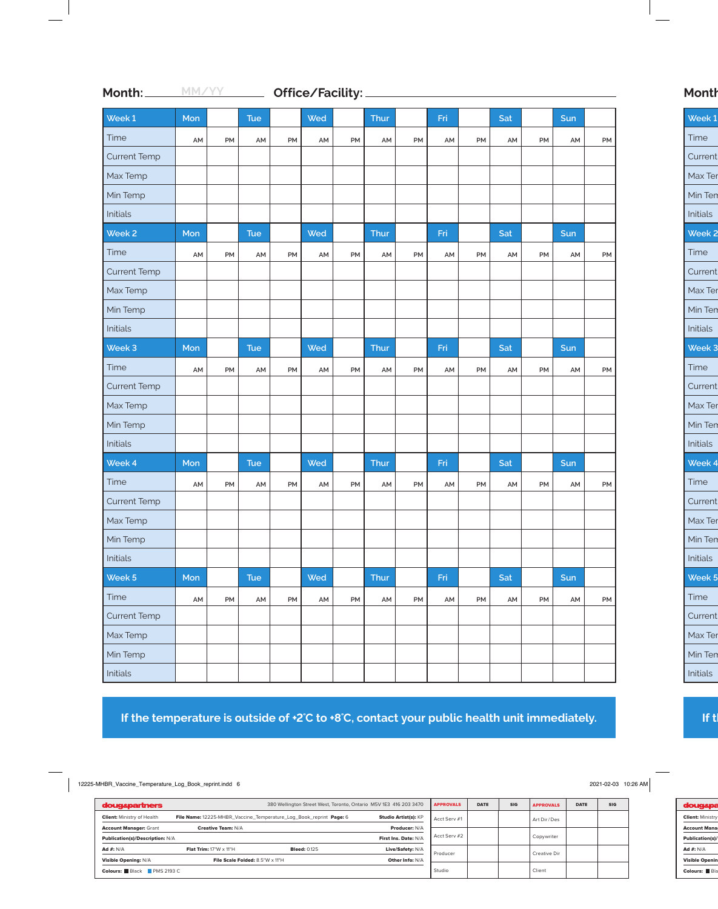| Week 1              | Mon |    | <b>Tue</b> |    | Wed |           | Thur |    | Fri |    | Sat |    | Sun |    |
|---------------------|-----|----|------------|----|-----|-----------|------|----|-----|----|-----|----|-----|----|
| Time                | AM  | PM | AM         | PM | AM  | PM        | AM   | PM | AM  | PM | AM  | PM | AM  | PM |
| <b>Current Temp</b> |     |    |            |    |     |           |      |    |     |    |     |    |     |    |
| Max Temp            |     |    |            |    |     |           |      |    |     |    |     |    |     |    |
| Min Temp            |     |    |            |    |     |           |      |    |     |    |     |    |     |    |
| Initials            |     |    |            |    |     |           |      |    |     |    |     |    |     |    |
| Week <sub>2</sub>   | Mon |    | <b>Tue</b> |    | Wed |           | Thur |    | Fri |    | Sat |    | Sun |    |
| Time                | AM  | PM | AM         | PM | AM  | PM        | AM   | PM | AM  | PM | AM  | PM | AM  | PM |
| <b>Current Temp</b> |     |    |            |    |     |           |      |    |     |    |     |    |     |    |
| Max Temp            |     |    |            |    |     |           |      |    |     |    |     |    |     |    |
| Min Temp            |     |    |            |    |     |           |      |    |     |    |     |    |     |    |
| Initials            |     |    |            |    |     |           |      |    |     |    |     |    |     |    |
| Week 3              | Mon |    | Tue        |    | Wed |           | Thur |    | Fri |    | Sat |    | Sun |    |
| Time                | AM  | PM | AM         | PM | AM  | PM        | AM   | PM | AM  | PM | AM  | PM | AM  | PM |
| <b>Current Temp</b> |     |    |            |    |     |           |      |    |     |    |     |    |     |    |
| Max Temp            |     |    |            |    |     |           |      |    |     |    |     |    |     |    |
| Min Temp            |     |    |            |    |     |           |      |    |     |    |     |    |     |    |
| Initials            |     |    |            |    |     |           |      |    |     |    |     |    |     |    |
| Week 4              | Mon |    | <b>Tue</b> |    | Wed |           | Thur |    | Fri |    | Sat |    | Sun |    |
| Time                | AM  | PM | AM         | PM | AM  | <b>PM</b> | AM   | PM | AM  | PM | AM  | PM | AM  | PM |
| <b>Current Temp</b> |     |    |            |    |     |           |      |    |     |    |     |    |     |    |
| Max Temp            |     |    |            |    |     |           |      |    |     |    |     |    |     |    |
| Min Temp            |     |    |            |    |     |           |      |    |     |    |     |    |     |    |
| Initials            |     |    |            |    |     |           |      |    |     |    |     |    |     |    |
| Week 5              | Mon |    | Tue        |    | Wed |           | Thur |    | Fri |    | Sat |    | Sun |    |
| Time                | AM  | PM | AM         | PM | AM  | PM        | AM   | PM | AM  | PM | AM  | PM | AM  | PM |
| <b>Current Temp</b> |     |    |            |    |     |           |      |    |     |    |     |    |     |    |
| Max Temp            |     |    |            |    |     |           |      |    |     |    |     |    |     |    |
| Min Temp            |     |    |            |    |     |           |      |    |     |    |     |    |     |    |
| Initials            |     |    |            |    |     |           |      |    |     |    |     |    |     |    |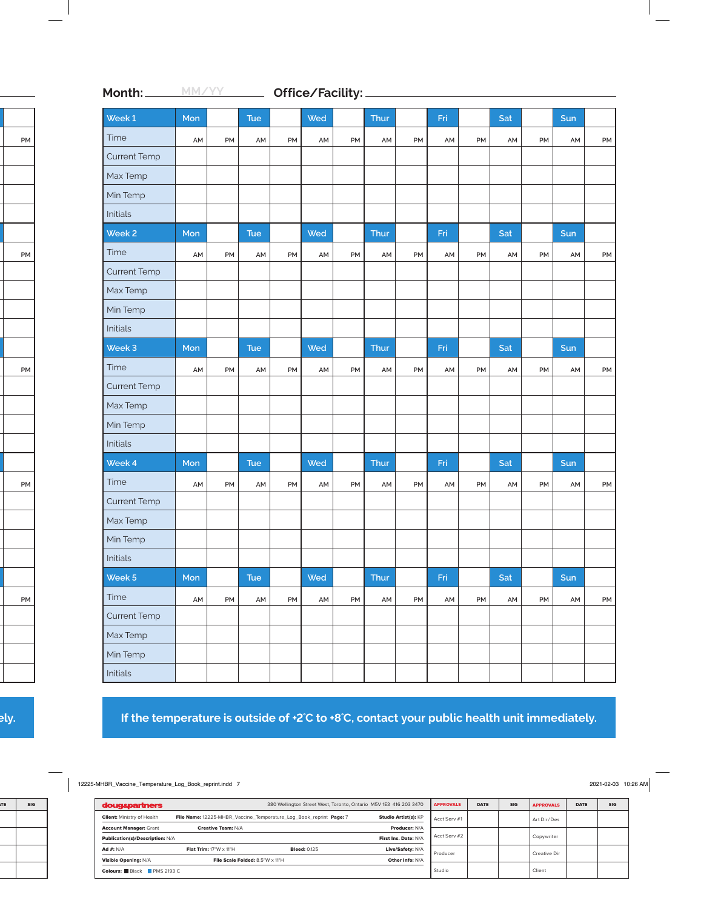| Week 1              | Mon |    | <b>Tue</b> |    | Wed |    | Thur |    | Fri |    | Sat |    | Sun |    |
|---------------------|-----|----|------------|----|-----|----|------|----|-----|----|-----|----|-----|----|
| Time                | AM  | PM | AM         | PM | AM  | PM | AM   | PM | AM  | PM | AM  | PM | AM  | PM |
| <b>Current Temp</b> |     |    |            |    |     |    |      |    |     |    |     |    |     |    |
| Max Temp            |     |    |            |    |     |    |      |    |     |    |     |    |     |    |
| Min Temp            |     |    |            |    |     |    |      |    |     |    |     |    |     |    |
| Initials            |     |    |            |    |     |    |      |    |     |    |     |    |     |    |
| Week <sub>2</sub>   | Mon |    | <b>Tue</b> |    | Wed |    | Thur |    | Fri |    | Sat |    | Sun |    |
| Time                | AM  | PM | AM         | PM | AM  | PM | AM   | PM | AM  | PM | AM  | PM | AM  | PM |
| <b>Current Temp</b> |     |    |            |    |     |    |      |    |     |    |     |    |     |    |
| Max Temp            |     |    |            |    |     |    |      |    |     |    |     |    |     |    |
| Min Temp            |     |    |            |    |     |    |      |    |     |    |     |    |     |    |
| Initials            |     |    |            |    |     |    |      |    |     |    |     |    |     |    |
| Week 3              | Mon |    | Tue        |    | Wed |    | Thur |    | Fri |    | Sat |    | Sun |    |
| Time                | AM  | PM | AM         | PM | AM  | PM | AM   | PM | AM  | PM | AM  | PM | AM  | PM |
| <b>Current Temp</b> |     |    |            |    |     |    |      |    |     |    |     |    |     |    |
| Max Temp            |     |    |            |    |     |    |      |    |     |    |     |    |     |    |
| Min Temp            |     |    |            |    |     |    |      |    |     |    |     |    |     |    |
| Initials            |     |    |            |    |     |    |      |    |     |    |     |    |     |    |
| Week 4              | Mon |    | <b>Tue</b> |    | Wed |    | Thur |    | Fri |    | Sat |    | Sun |    |
| Time                | AM  | PM | AM         | PM | AM  | PM | AM   | PM | AM  | PM | AM  | PM | AM  | PM |
| <b>Current Temp</b> |     |    |            |    |     |    |      |    |     |    |     |    |     |    |
| Max Temp            |     |    |            |    |     |    |      |    |     |    |     |    |     |    |
| Min Temp            |     |    |            |    |     |    |      |    |     |    |     |    |     |    |
| Initials            |     |    |            |    |     |    |      |    |     |    |     |    |     |    |
| Week 5              | Mon |    | Tue        |    | Wed |    | Thur |    | Fri |    | Sat |    | Sun |    |
| Time                | AM  | PM | AM         | PM | AM  | PM | AM   | PM | AM  | PM | AM  | PM | AM  | PM |
| <b>Current Temp</b> |     |    |            |    |     |    |      |    |     |    |     |    |     |    |
| Max Temp            |     |    |            |    |     |    |      |    |     |    |     |    |     |    |
| Min Temp            |     |    |            |    |     |    |      |    |     |    |     |    |     |    |
| Initials            |     |    |            |    |     |    |      |    |     |    |     |    |     |    |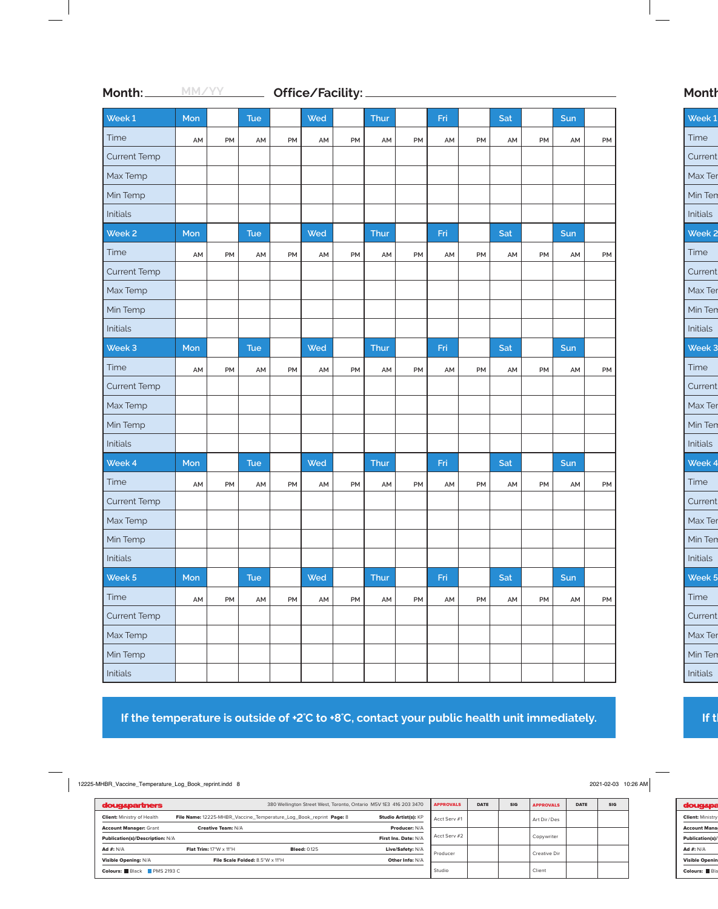| Week 1              | Mon |    | <b>Tue</b> |    | Wed |           | Thur |    | Fri |    | Sat |    | Sun |    |
|---------------------|-----|----|------------|----|-----|-----------|------|----|-----|----|-----|----|-----|----|
| Time                | AM  | PM | AM         | PM | AM  | PM        | AM   | PM | AM  | PM | AM  | PM | AM  | PM |
| <b>Current Temp</b> |     |    |            |    |     |           |      |    |     |    |     |    |     |    |
| Max Temp            |     |    |            |    |     |           |      |    |     |    |     |    |     |    |
| Min Temp            |     |    |            |    |     |           |      |    |     |    |     |    |     |    |
| Initials            |     |    |            |    |     |           |      |    |     |    |     |    |     |    |
| Week <sub>2</sub>   | Mon |    | <b>Tue</b> |    | Wed |           | Thur |    | Fri |    | Sat |    | Sun |    |
| Time                | AM  | PM | AM         | PM | AM  | PM        | AM   | PM | AM  | PM | AM  | PM | AM  | PM |
| <b>Current Temp</b> |     |    |            |    |     |           |      |    |     |    |     |    |     |    |
| Max Temp            |     |    |            |    |     |           |      |    |     |    |     |    |     |    |
| Min Temp            |     |    |            |    |     |           |      |    |     |    |     |    |     |    |
| Initials            |     |    |            |    |     |           |      |    |     |    |     |    |     |    |
| Week 3              | Mon |    | Tue        |    | Wed |           | Thur |    | Fri |    | Sat |    | Sun |    |
| Time                | AM  | PM | AM         | PM | AM  | PM        | AM   | PM | AM  | PM | AM  | PM | AM  | PM |
| <b>Current Temp</b> |     |    |            |    |     |           |      |    |     |    |     |    |     |    |
| Max Temp            |     |    |            |    |     |           |      |    |     |    |     |    |     |    |
| Min Temp            |     |    |            |    |     |           |      |    |     |    |     |    |     |    |
| Initials            |     |    |            |    |     |           |      |    |     |    |     |    |     |    |
| Week 4              | Mon |    | <b>Tue</b> |    | Wed |           | Thur |    | Fri |    | Sat |    | Sun |    |
| Time                | AM  | PM | AM         | PM | AM  | <b>PM</b> | AM   | PM | AM  | PM | AM  | PM | AM  | PM |
| <b>Current Temp</b> |     |    |            |    |     |           |      |    |     |    |     |    |     |    |
| Max Temp            |     |    |            |    |     |           |      |    |     |    |     |    |     |    |
| Min Temp            |     |    |            |    |     |           |      |    |     |    |     |    |     |    |
| Initials            |     |    |            |    |     |           |      |    |     |    |     |    |     |    |
| Week 5              | Mon |    | Tue        |    | Wed |           | Thur |    | Fri |    | Sat |    | Sun |    |
| Time                | AM  | PM | AM         | PM | AM  | PM        | AM   | PM | AM  | PM | AM  | PM | AM  | PM |
| <b>Current Temp</b> |     |    |            |    |     |           |      |    |     |    |     |    |     |    |
| Max Temp            |     |    |            |    |     |           |      |    |     |    |     |    |     |    |
| Min Temp            |     |    |            |    |     |           |      |    |     |    |     |    |     |    |
| Initials            |     |    |            |    |     |           |      |    |     |    |     |    |     |    |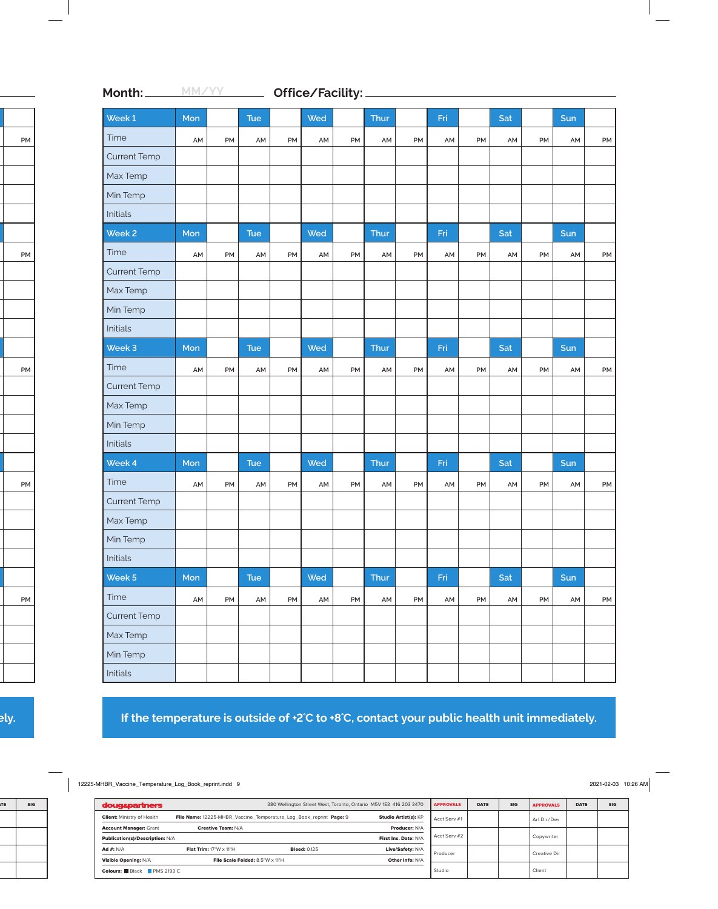| Week 1              | Mon |    | <b>Tue</b> |    | Wed |    | Thur |    | Fri |    | Sat |    | Sun |    |
|---------------------|-----|----|------------|----|-----|----|------|----|-----|----|-----|----|-----|----|
| Time                | AM  | PM | AM         | PM | AM  | PM | AM   | PM | AM  | PM | AM  | PM | AM  | PM |
| <b>Current Temp</b> |     |    |            |    |     |    |      |    |     |    |     |    |     |    |
| Max Temp            |     |    |            |    |     |    |      |    |     |    |     |    |     |    |
| Min Temp            |     |    |            |    |     |    |      |    |     |    |     |    |     |    |
| Initials            |     |    |            |    |     |    |      |    |     |    |     |    |     |    |
| Week <sub>2</sub>   | Mon |    | <b>Tue</b> |    | Wed |    | Thur |    | Fri |    | Sat |    | Sun |    |
| Time                | AM  | PM | AM         | PM | AM  | PM | AM   | PM | AM  | PM | AM  | PM | AM  | PM |
| <b>Current Temp</b> |     |    |            |    |     |    |      |    |     |    |     |    |     |    |
| Max Temp            |     |    |            |    |     |    |      |    |     |    |     |    |     |    |
| Min Temp            |     |    |            |    |     |    |      |    |     |    |     |    |     |    |
| Initials            |     |    |            |    |     |    |      |    |     |    |     |    |     |    |
| Week 3              | Mon |    | Tue        |    | Wed |    | Thur |    | Fri |    | Sat |    | Sun |    |
| Time                | AM  | PM | AM         | PM | AM  | PM | AM   | PM | AM  | PM | AM  | PM | AM  | PM |
| <b>Current Temp</b> |     |    |            |    |     |    |      |    |     |    |     |    |     |    |
| Max Temp            |     |    |            |    |     |    |      |    |     |    |     |    |     |    |
| Min Temp            |     |    |            |    |     |    |      |    |     |    |     |    |     |    |
| Initials            |     |    |            |    |     |    |      |    |     |    |     |    |     |    |
| Week 4              | Mon |    | <b>Tue</b> |    | Wed |    | Thur |    | Fri |    | Sat |    | Sun |    |
| Time                | AM  | PM | AM         | PM | AM  | PM | AM   | PM | AM  | PM | AM  | PM | AM  | PM |
| <b>Current Temp</b> |     |    |            |    |     |    |      |    |     |    |     |    |     |    |
| Max Temp            |     |    |            |    |     |    |      |    |     |    |     |    |     |    |
| Min Temp            |     |    |            |    |     |    |      |    |     |    |     |    |     |    |
| Initials            |     |    |            |    |     |    |      |    |     |    |     |    |     |    |
| Week 5              | Mon |    | Tue        |    | Wed |    | Thur |    | Fri |    | Sat |    | Sun |    |
| Time                | AM  | PM | AM         | PM | AM  | PM | AM   | PM | AM  | PM | AM  | PM | AM  | PM |
| <b>Current Temp</b> |     |    |            |    |     |    |      |    |     |    |     |    |     |    |
| Max Temp            |     |    |            |    |     |    |      |    |     |    |     |    |     |    |
| Min Temp            |     |    |            |    |     |    |      |    |     |    |     |    |     |    |
| Initials            |     |    |            |    |     |    |      |    |     |    |     |    |     |    |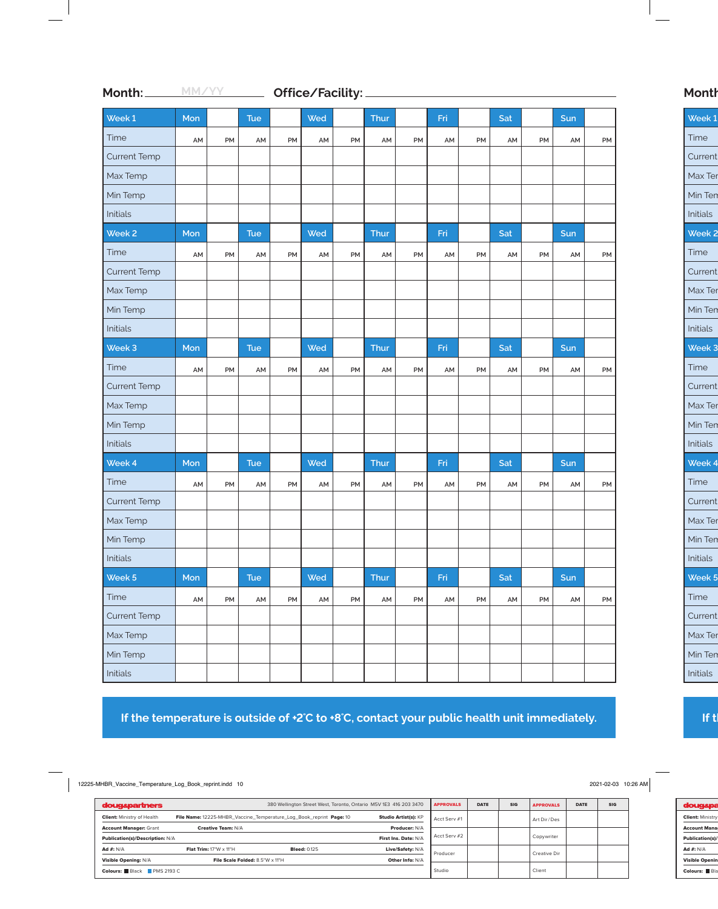| Week 1              | Mon |    | <b>Tue</b> |    | Wed |           | Thur |    | Fri |    | Sat |    | Sun |    |
|---------------------|-----|----|------------|----|-----|-----------|------|----|-----|----|-----|----|-----|----|
| Time                | AM  | PM | AM         | PM | AM  | PM        | AM   | PM | AM  | PM | AM  | PM | AM  | PM |
| <b>Current Temp</b> |     |    |            |    |     |           |      |    |     |    |     |    |     |    |
| Max Temp            |     |    |            |    |     |           |      |    |     |    |     |    |     |    |
| Min Temp            |     |    |            |    |     |           |      |    |     |    |     |    |     |    |
| Initials            |     |    |            |    |     |           |      |    |     |    |     |    |     |    |
| Week <sub>2</sub>   | Mon |    | <b>Tue</b> |    | Wed |           | Thur |    | Fri |    | Sat |    | Sun |    |
| Time                | AM  | PM | AM         | PM | AM  | PM        | AM   | PM | AM  | PM | AM  | PM | AM  | PM |
| <b>Current Temp</b> |     |    |            |    |     |           |      |    |     |    |     |    |     |    |
| Max Temp            |     |    |            |    |     |           |      |    |     |    |     |    |     |    |
| Min Temp            |     |    |            |    |     |           |      |    |     |    |     |    |     |    |
| Initials            |     |    |            |    |     |           |      |    |     |    |     |    |     |    |
| Week 3              | Mon |    | Tue        |    | Wed |           | Thur |    | Fri |    | Sat |    | Sun |    |
| Time                | AM  | PM | AM         | PM | AM  | PM        | AM   | PM | AM  | PM | AM  | PM | AM  | PM |
| <b>Current Temp</b> |     |    |            |    |     |           |      |    |     |    |     |    |     |    |
| Max Temp            |     |    |            |    |     |           |      |    |     |    |     |    |     |    |
| Min Temp            |     |    |            |    |     |           |      |    |     |    |     |    |     |    |
| Initials            |     |    |            |    |     |           |      |    |     |    |     |    |     |    |
| Week 4              | Mon |    | <b>Tue</b> |    | Wed |           | Thur |    | Fri |    | Sat |    | Sun |    |
| Time                | AM  | PM | AM         | PM | AM  | <b>PM</b> | AM   | PM | AM  | PM | AM  | PM | AM  | PM |
| <b>Current Temp</b> |     |    |            |    |     |           |      |    |     |    |     |    |     |    |
| Max Temp            |     |    |            |    |     |           |      |    |     |    |     |    |     |    |
| Min Temp            |     |    |            |    |     |           |      |    |     |    |     |    |     |    |
| Initials            |     |    |            |    |     |           |      |    |     |    |     |    |     |    |
| Week 5              | Mon |    | Tue        |    | Wed |           | Thur |    | Fri |    | Sat |    | Sun |    |
| Time                | AM  | PM | AM         | PM | AM  | PM        | AM   | PM | AM  | PM | AM  | PM | AM  | PM |
| <b>Current Temp</b> |     |    |            |    |     |           |      |    |     |    |     |    |     |    |
| Max Temp            |     |    |            |    |     |           |      |    |     |    |     |    |     |    |
| Min Temp            |     |    |            |    |     |           |      |    |     |    |     |    |     |    |
| Initials            |     |    |            |    |     |           |      |    |     |    |     |    |     |    |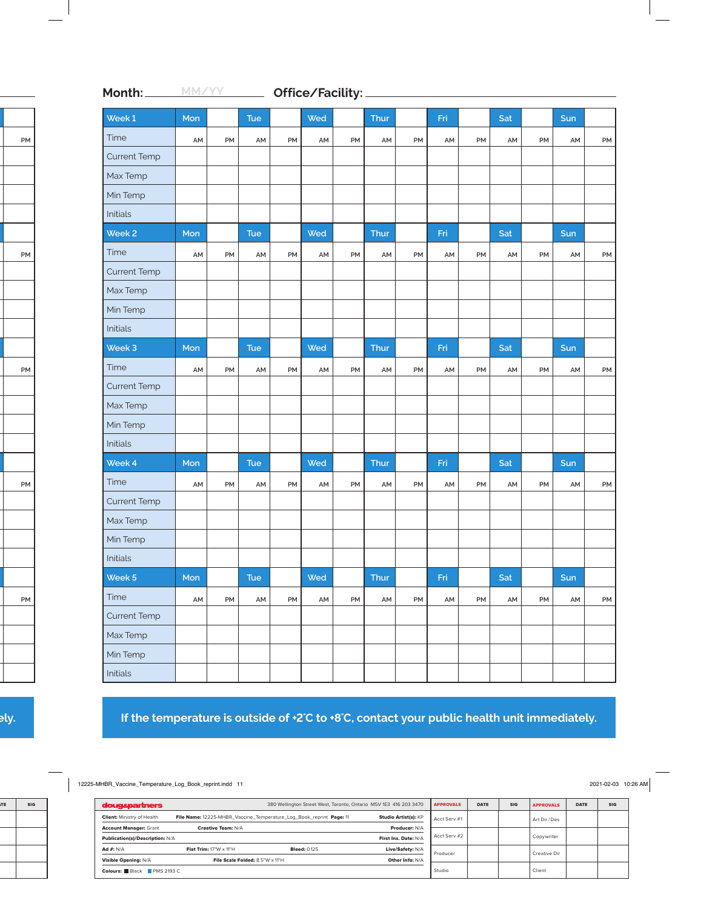| Week 1              | Mon |    | <b>Tue</b> |    | Wed |    | Thur |    | Fri |    | Sat |    | Sun |    |
|---------------------|-----|----|------------|----|-----|----|------|----|-----|----|-----|----|-----|----|
| Time                | AM  | PM | AM         | PM | AM  | PM | AM   | PM | AM  | PM | AM  | PM | AM  | PM |
| <b>Current Temp</b> |     |    |            |    |     |    |      |    |     |    |     |    |     |    |
| Max Temp            |     |    |            |    |     |    |      |    |     |    |     |    |     |    |
| Min Temp            |     |    |            |    |     |    |      |    |     |    |     |    |     |    |
| Initials            |     |    |            |    |     |    |      |    |     |    |     |    |     |    |
| Week <sub>2</sub>   | Mon |    | <b>Tue</b> |    | Wed |    | Thur |    | Fri |    | Sat |    | Sun |    |
| Time                | AM  | PM | AM         | PM | AM  | PM | AM   | PM | AM  | PM | AM  | PM | AM  | PM |
| <b>Current Temp</b> |     |    |            |    |     |    |      |    |     |    |     |    |     |    |
| Max Temp            |     |    |            |    |     |    |      |    |     |    |     |    |     |    |
| Min Temp            |     |    |            |    |     |    |      |    |     |    |     |    |     |    |
| Initials            |     |    |            |    |     |    |      |    |     |    |     |    |     |    |
| Week 3              | Mon |    | Tue        |    | Wed |    | Thur |    | Fri |    | Sat |    | Sun |    |
| Time                | AM  | PM | AM         | PM | AM  | PM | AM   | PM | AM  | PM | AM  | PM | AM  | PM |
| <b>Current Temp</b> |     |    |            |    |     |    |      |    |     |    |     |    |     |    |
| Max Temp            |     |    |            |    |     |    |      |    |     |    |     |    |     |    |
| Min Temp            |     |    |            |    |     |    |      |    |     |    |     |    |     |    |
| Initials            |     |    |            |    |     |    |      |    |     |    |     |    |     |    |
| Week 4              | Mon |    | <b>Tue</b> |    | Wed |    | Thur |    | Fri |    | Sat |    | Sun |    |
| Time                | AM  | PM | AM         | PM | AM  | PM | AM   | PM | AM  | PM | AM  | PM | AM  | PM |
| <b>Current Temp</b> |     |    |            |    |     |    |      |    |     |    |     |    |     |    |
| Max Temp            |     |    |            |    |     |    |      |    |     |    |     |    |     |    |
| Min Temp            |     |    |            |    |     |    |      |    |     |    |     |    |     |    |
| Initials            |     |    |            |    |     |    |      |    |     |    |     |    |     |    |
| Week 5              | Mon |    | Tue        |    | Wed |    | Thur |    | Fri |    | Sat |    | Sun |    |
| Time                | AM  | PM | AM         | PM | AM  | PM | AM   | PM | AM  | PM | AM  | PM | AM  | PM |
| <b>Current Temp</b> |     |    |            |    |     |    |      |    |     |    |     |    |     |    |
| Max Temp            |     |    |            |    |     |    |      |    |     |    |     |    |     |    |
| Min Temp            |     |    |            |    |     |    |      |    |     |    |     |    |     |    |
| Initials            |     |    |            |    |     |    |      |    |     |    |     |    |     |    |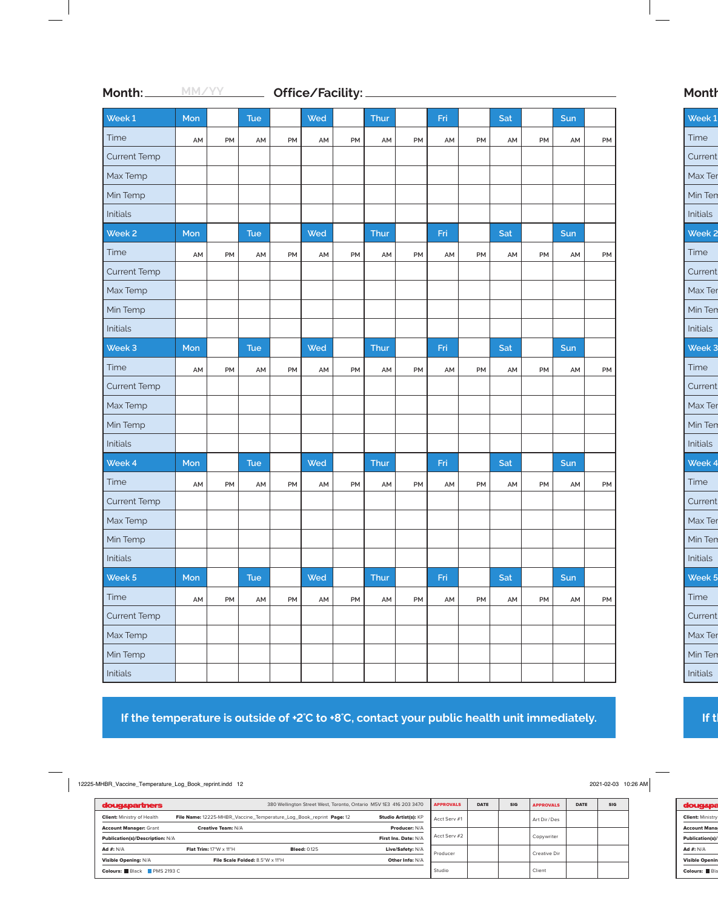| Week 1              | Mon |    | <b>Tue</b> |    | Wed |           | Thur |    | Fri |    | Sat |    | Sun |    |
|---------------------|-----|----|------------|----|-----|-----------|------|----|-----|----|-----|----|-----|----|
| Time                | AM  | PM | AM         | PM | AM  | PM        | AM   | PM | AM  | PM | AM  | PM | AM  | PM |
| <b>Current Temp</b> |     |    |            |    |     |           |      |    |     |    |     |    |     |    |
| Max Temp            |     |    |            |    |     |           |      |    |     |    |     |    |     |    |
| Min Temp            |     |    |            |    |     |           |      |    |     |    |     |    |     |    |
| Initials            |     |    |            |    |     |           |      |    |     |    |     |    |     |    |
| Week <sub>2</sub>   | Mon |    | <b>Tue</b> |    | Wed |           | Thur |    | Fri |    | Sat |    | Sun |    |
| Time                | AM  | PM | AM         | PM | AM  | PM        | AM   | PM | AM  | PM | AM  | PM | AM  | PM |
| <b>Current Temp</b> |     |    |            |    |     |           |      |    |     |    |     |    |     |    |
| Max Temp            |     |    |            |    |     |           |      |    |     |    |     |    |     |    |
| Min Temp            |     |    |            |    |     |           |      |    |     |    |     |    |     |    |
| Initials            |     |    |            |    |     |           |      |    |     |    |     |    |     |    |
| Week 3              | Mon |    | Tue        |    | Wed |           | Thur |    | Fri |    | Sat |    | Sun |    |
| Time                | AM  | PM | AM         | PM | AM  | PM        | AM   | PM | AM  | PM | AM  | PM | AM  | PM |
| <b>Current Temp</b> |     |    |            |    |     |           |      |    |     |    |     |    |     |    |
| Max Temp            |     |    |            |    |     |           |      |    |     |    |     |    |     |    |
| Min Temp            |     |    |            |    |     |           |      |    |     |    |     |    |     |    |
| Initials            |     |    |            |    |     |           |      |    |     |    |     |    |     |    |
| Week 4              | Mon |    | <b>Tue</b> |    | Wed |           | Thur |    | Fri |    | Sat |    | Sun |    |
| Time                | AM  | PM | AM         | PM | AM  | <b>PM</b> | AM   | PM | AM  | PM | AM  | PM | AM  | PM |
| <b>Current Temp</b> |     |    |            |    |     |           |      |    |     |    |     |    |     |    |
| Max Temp            |     |    |            |    |     |           |      |    |     |    |     |    |     |    |
| Min Temp            |     |    |            |    |     |           |      |    |     |    |     |    |     |    |
| Initials            |     |    |            |    |     |           |      |    |     |    |     |    |     |    |
| Week 5              | Mon |    | Tue        |    | Wed |           | Thur |    | Fri |    | Sat |    | Sun |    |
| Time                | AM  | PM | AM         | PM | AM  | PM        | AM   | PM | AM  | PM | AM  | PM | AM  | PM |
| <b>Current Temp</b> |     |    |            |    |     |           |      |    |     |    |     |    |     |    |
| Max Temp            |     |    |            |    |     |           |      |    |     |    |     |    |     |    |
| Min Temp            |     |    |            |    |     |           |      |    |     |    |     |    |     |    |
| Initials            |     |    |            |    |     |           |      |    |     |    |     |    |     |    |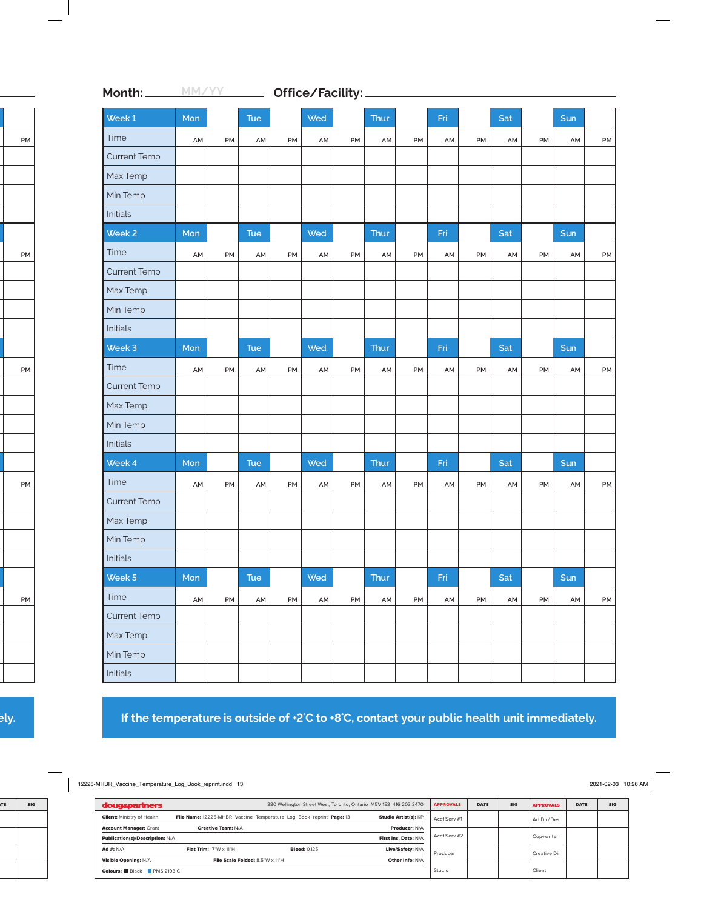| Week 1              | Mon |    | <b>Tue</b>    |    | Wed |    | Thur |    | Fri |    | Sat |    | Sun |    |
|---------------------|-----|----|---------------|----|-----|----|------|----|-----|----|-----|----|-----|----|
| Time                | AM  | PM | AM            | PM | AM  | PM | AM   | PM | AM  | PM | AM  | PM | AM  | PM |
| <b>Current Temp</b> |     |    |               |    |     |    |      |    |     |    |     |    |     |    |
| Max Temp            |     |    |               |    |     |    |      |    |     |    |     |    |     |    |
| Min Temp            |     |    |               |    |     |    |      |    |     |    |     |    |     |    |
| Initials            |     |    |               |    |     |    |      |    |     |    |     |    |     |    |
| Week <sub>2</sub>   | Mon |    | <b>Tue</b>    |    | Wed |    | Thur |    | Fri |    | Sat |    | Sun |    |
| Time                | AM  | PM | AM            | PM | AM  | PM | AM   | PM | AM  | PM | AM  | PM | AM  | PM |
| <b>Current Temp</b> |     |    |               |    |     |    |      |    |     |    |     |    |     |    |
| Max Temp            |     |    |               |    |     |    |      |    |     |    |     |    |     |    |
| Min Temp            |     |    |               |    |     |    |      |    |     |    |     |    |     |    |
| Initials            |     |    |               |    |     |    |      |    |     |    |     |    |     |    |
| Week 3              | Mon |    | <b>Tue</b>    |    | Wed |    | Thur |    | Fri |    | Sat |    | Sun |    |
| Time                | AM  | PM | AM            | PM | AM  | PM | AM   | PM | AM  | PM | AM  | PM | AM  | PM |
| <b>Current Temp</b> |     |    |               |    |     |    |      |    |     |    |     |    |     |    |
| Max Temp            |     |    |               |    |     |    |      |    |     |    |     |    |     |    |
| Min Temp            |     |    |               |    |     |    |      |    |     |    |     |    |     |    |
| Initials            |     |    |               |    |     |    |      |    |     |    |     |    |     |    |
| Week 4              | Mon |    | Tue           |    | Wed |    | Thur |    | Fri |    | Sat |    | Sun |    |
| Time                | AM  | PM | AM            | PM | AM  | PM | AM   | PM | AM  | PM | AM  | PM | AM  | PM |
| <b>Current Temp</b> |     |    |               |    |     |    |      |    |     |    |     |    |     |    |
| Max Temp            |     |    |               |    |     |    |      |    |     |    |     |    |     |    |
| Min Temp            |     |    |               |    |     |    |      |    |     |    |     |    |     |    |
| Initials            |     |    |               |    |     |    |      |    |     |    |     |    |     |    |
| Week 5              | Mon |    | Tue           |    | Wed |    | Thur |    | Fri |    | Sat |    | Sun |    |
| Time                | AM  | PM | $\mathsf{AM}$ | PM | AM  | PM | AM   | PM | AM  | PM | AM  | PM | AM  | PM |
| <b>Current Temp</b> |     |    |               |    |     |    |      |    |     |    |     |    |     |    |
| Max Temp            |     |    |               |    |     |    |      |    |     |    |     |    |     |    |
| Min Temp            |     |    |               |    |     |    |      |    |     |    |     |    |     |    |
| Initials            |     |    |               |    |     |    |      |    |     |    |     |    |     |    |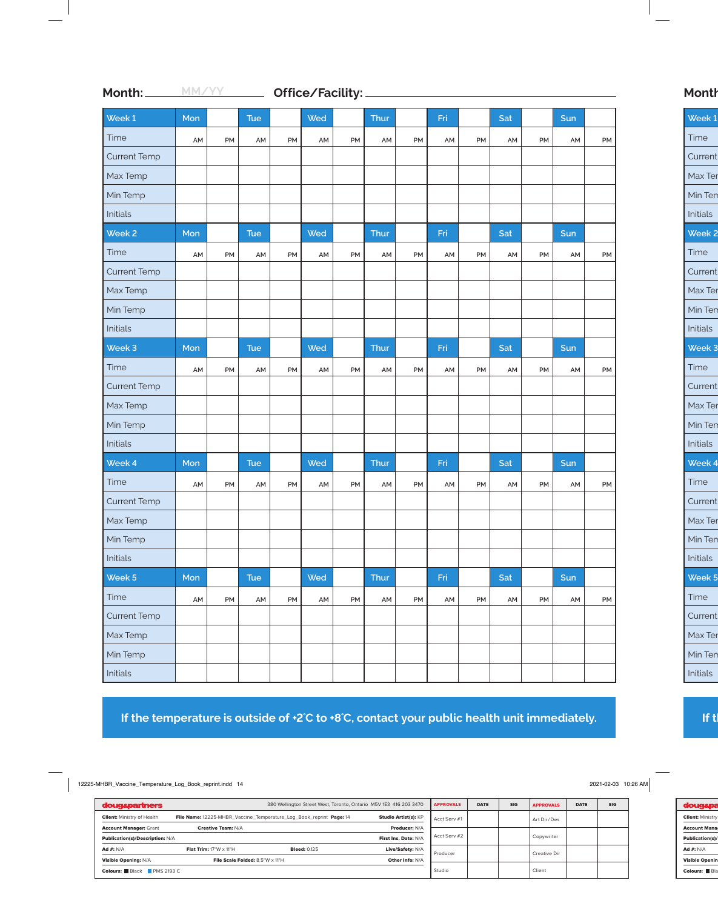| Week 1              | Mon |    | <b>Tue</b> |    | Wed |    | Thur |    | Fri |    | Sat |    | Sun |    |
|---------------------|-----|----|------------|----|-----|----|------|----|-----|----|-----|----|-----|----|
| Time                | AM  | PM | AM         | PM | AM  | PM | AM   | PM | AM  | PM | AM  | PM | AM  | PM |
| <b>Current Temp</b> |     |    |            |    |     |    |      |    |     |    |     |    |     |    |
| Max Temp            |     |    |            |    |     |    |      |    |     |    |     |    |     |    |
| Min Temp            |     |    |            |    |     |    |      |    |     |    |     |    |     |    |
| Initials            |     |    |            |    |     |    |      |    |     |    |     |    |     |    |
| Week <sub>2</sub>   | Mon |    | <b>Tue</b> |    | Wed |    | Thur |    | Fri |    | Sat |    | Sun |    |
| Time                | AM  | PM | AM         | PM | AM  | PM | AM   | PM | AM  | PM | AM  | PM | AM  | PM |
| <b>Current Temp</b> |     |    |            |    |     |    |      |    |     |    |     |    |     |    |
| Max Temp            |     |    |            |    |     |    |      |    |     |    |     |    |     |    |
| Min Temp            |     |    |            |    |     |    |      |    |     |    |     |    |     |    |
| Initials            |     |    |            |    |     |    |      |    |     |    |     |    |     |    |
| Week 3              | Mon |    | <b>Tue</b> |    | Wed |    | Thur |    | Fri |    | Sat |    | Sun |    |
| Time                | AM  | PM | AM         | PM | AM  | PM | AM   | PM | AM  | PM | AM  | PM | AM  | PM |
| <b>Current Temp</b> |     |    |            |    |     |    |      |    |     |    |     |    |     |    |
| Max Temp            |     |    |            |    |     |    |      |    |     |    |     |    |     |    |
| Min Temp            |     |    |            |    |     |    |      |    |     |    |     |    |     |    |
| Initials            |     |    |            |    |     |    |      |    |     |    |     |    |     |    |
| Week 4              | Mon |    | <b>Tue</b> |    | Wed |    | Thur |    | Fri |    | Sat |    | Sun |    |
| Time                | AM  | PM | AM         | PM | AM  | PM | AM   | PM | AM  | PM | AM  | PM | AM  | PM |
| <b>Current Temp</b> |     |    |            |    |     |    |      |    |     |    |     |    |     |    |
| Max Temp            |     |    |            |    |     |    |      |    |     |    |     |    |     |    |
| Min Temp            |     |    |            |    |     |    |      |    |     |    |     |    |     |    |
| Initials            |     |    |            |    |     |    |      |    |     |    |     |    |     |    |
| Week 5              | Mon |    | Tue        |    | Wed |    | Thur |    | Fri |    | Sat |    | Sun |    |
| Time                | AM  | PM | AM         | PM | AM  | PM | AM   | PM | AM  | PM | AM  | PM | AM  | PM |
| <b>Current Temp</b> |     |    |            |    |     |    |      |    |     |    |     |    |     |    |
| Max Temp            |     |    |            |    |     |    |      |    |     |    |     |    |     |    |
| Min Temp            |     |    |            |    |     |    |      |    |     |    |     |    |     |    |
| Initials            |     |    |            |    |     |    |      |    |     |    |     |    |     |    |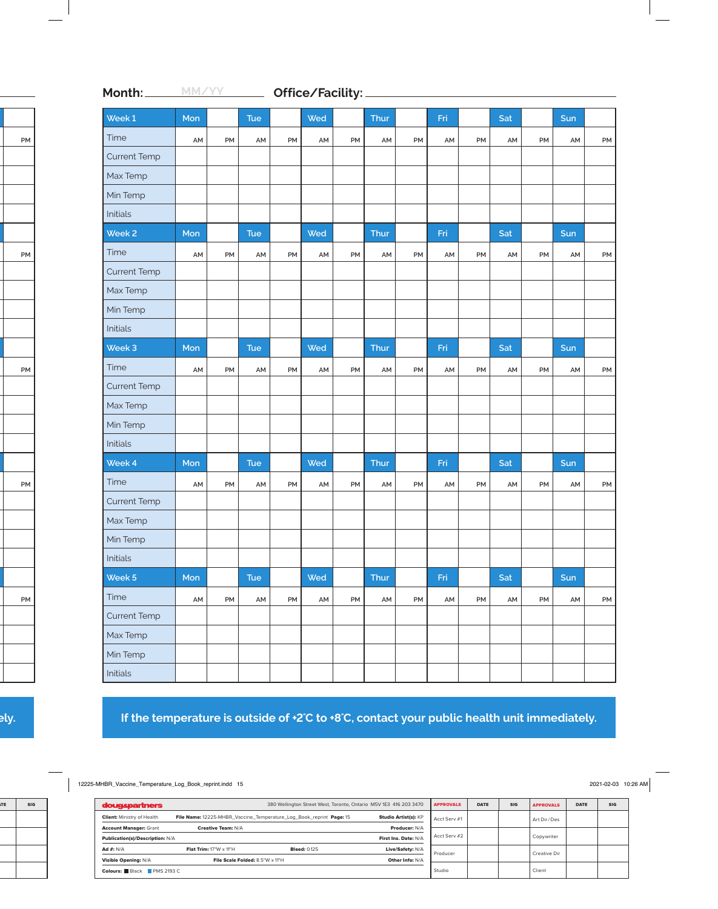| Week 1              | Mon |    | <b>Tue</b>    |    | Wed |    | Thur |    | Fri |    | Sat |    | Sun |    |
|---------------------|-----|----|---------------|----|-----|----|------|----|-----|----|-----|----|-----|----|
| Time                | AM  | PM | AM            | PM | AM  | PM | AM   | PM | AM  | PM | AM  | PM | AM  | PM |
| <b>Current Temp</b> |     |    |               |    |     |    |      |    |     |    |     |    |     |    |
| Max Temp            |     |    |               |    |     |    |      |    |     |    |     |    |     |    |
| Min Temp            |     |    |               |    |     |    |      |    |     |    |     |    |     |    |
| Initials            |     |    |               |    |     |    |      |    |     |    |     |    |     |    |
| Week <sub>2</sub>   | Mon |    | <b>Tue</b>    |    | Wed |    | Thur |    | Fri |    | Sat |    | Sun |    |
| Time                | AM  | PM | AM            | PM | AM  | PM | AM   | PM | AM  | PM | AM  | PM | AM  | PM |
| <b>Current Temp</b> |     |    |               |    |     |    |      |    |     |    |     |    |     |    |
| Max Temp            |     |    |               |    |     |    |      |    |     |    |     |    |     |    |
| Min Temp            |     |    |               |    |     |    |      |    |     |    |     |    |     |    |
| Initials            |     |    |               |    |     |    |      |    |     |    |     |    |     |    |
| Week 3              | Mon |    | <b>Tue</b>    |    | Wed |    | Thur |    | Fri |    | Sat |    | Sun |    |
| Time                | AM  | PM | AM            | PM | AM  | PM | AM   | PM | AM  | PM | AM  | PM | AM  | PM |
| <b>Current Temp</b> |     |    |               |    |     |    |      |    |     |    |     |    |     |    |
| Max Temp            |     |    |               |    |     |    |      |    |     |    |     |    |     |    |
| Min Temp            |     |    |               |    |     |    |      |    |     |    |     |    |     |    |
| Initials            |     |    |               |    |     |    |      |    |     |    |     |    |     |    |
| Week 4              | Mon |    | Tue           |    | Wed |    | Thur |    | Fri |    | Sat |    | Sun |    |
| Time                | AM  | PM | AM            | PM | AM  | PM | AM   | PM | AM  | PM | AM  | PM | AM  | PM |
| <b>Current Temp</b> |     |    |               |    |     |    |      |    |     |    |     |    |     |    |
| Max Temp            |     |    |               |    |     |    |      |    |     |    |     |    |     |    |
| Min Temp            |     |    |               |    |     |    |      |    |     |    |     |    |     |    |
| Initials            |     |    |               |    |     |    |      |    |     |    |     |    |     |    |
| Week 5              | Mon |    | Tue           |    | Wed |    | Thur |    | Fri |    | Sat |    | Sun |    |
| Time                | AM  | PM | $\mathsf{AM}$ | PM | AM  | PM | AM   | PM | AM  | PM | AM  | PM | AM  | PM |
| <b>Current Temp</b> |     |    |               |    |     |    |      |    |     |    |     |    |     |    |
| Max Temp            |     |    |               |    |     |    |      |    |     |    |     |    |     |    |
| Min Temp            |     |    |               |    |     |    |      |    |     |    |     |    |     |    |
| Initials            |     |    |               |    |     |    |      |    |     |    |     |    |     |    |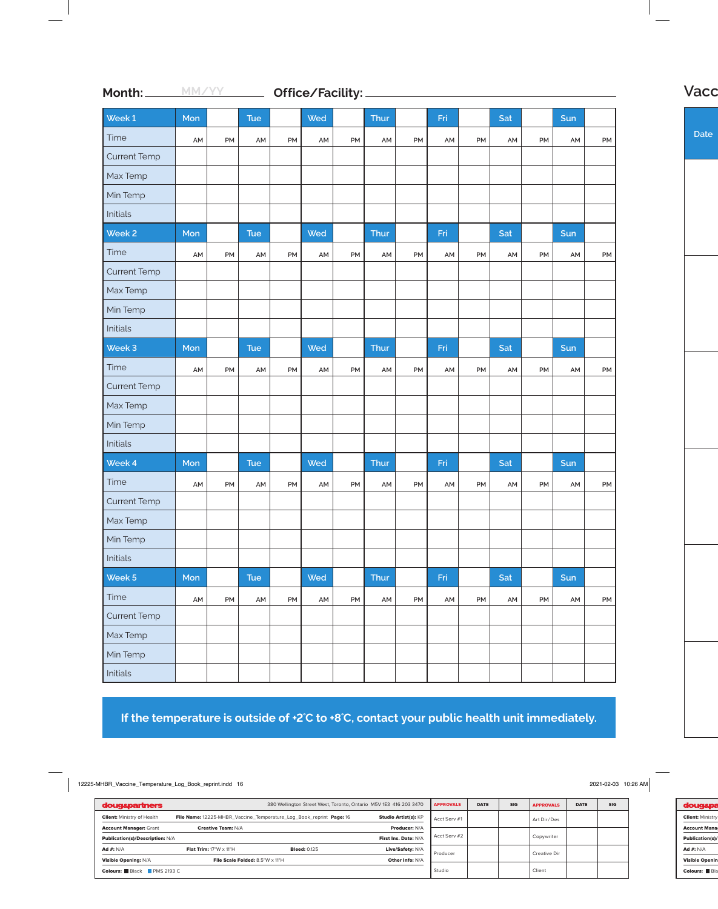| Week 1              | Mon |    | <b>Tue</b> |    | Wed |    | Thur |    | Fri |    | Sat |    | Sun |    |
|---------------------|-----|----|------------|----|-----|----|------|----|-----|----|-----|----|-----|----|
| Time                | AM  | PM | AM         | PM | AM  | PM | AM   | PM | AM  | PM | AM  | PM | AM  | PM |
| <b>Current Temp</b> |     |    |            |    |     |    |      |    |     |    |     |    |     |    |
| Max Temp            |     |    |            |    |     |    |      |    |     |    |     |    |     |    |
| Min Temp            |     |    |            |    |     |    |      |    |     |    |     |    |     |    |
| Initials            |     |    |            |    |     |    |      |    |     |    |     |    |     |    |
| Week <sub>2</sub>   | Mon |    | <b>Tue</b> |    | Wed |    | Thur |    | Fri |    | Sat |    | Sun |    |
| Time                | AM  | PM | AM         | PM | AM  | PM | AM   | PM | AM  | PM | AM  | PM | AM  | PM |
| <b>Current Temp</b> |     |    |            |    |     |    |      |    |     |    |     |    |     |    |
| Max Temp            |     |    |            |    |     |    |      |    |     |    |     |    |     |    |
| Min Temp            |     |    |            |    |     |    |      |    |     |    |     |    |     |    |
| Initials            |     |    |            |    |     |    |      |    |     |    |     |    |     |    |
| Week 3              | Mon |    | Tue        |    | Wed |    | Thur |    | Fri |    | Sat |    | Sun |    |
| Time                | AM  | PM | AM         | PM | AM  | PM | AM   | PM | AM  | PM | AM  | PM | AM  | PM |
| <b>Current Temp</b> |     |    |            |    |     |    |      |    |     |    |     |    |     |    |
| Max Temp            |     |    |            |    |     |    |      |    |     |    |     |    |     |    |
| Min Temp            |     |    |            |    |     |    |      |    |     |    |     |    |     |    |
| Initials            |     |    |            |    |     |    |      |    |     |    |     |    |     |    |
| Week 4              | Mon |    | <b>Tue</b> |    | Wed |    | Thur |    | Fri |    | Sat |    | Sun |    |
| Time                | AM  | PM | AM         | PM | AM  | PM | AM   | PM | AM  | PM | AM  | PM | AM  | PM |
| <b>Current Temp</b> |     |    |            |    |     |    |      |    |     |    |     |    |     |    |
| Max Temp            |     |    |            |    |     |    |      |    |     |    |     |    |     |    |
| Min Temp            |     |    |            |    |     |    |      |    |     |    |     |    |     |    |
| Initials            |     |    |            |    |     |    |      |    |     |    |     |    |     |    |
| Week 5              | Mon |    | Tue        |    | Wed |    | Thur |    | Fri |    | Sat |    | Sun |    |
| Time                | AM  | PM | AM         | PM | AM  | PM | AM   | PM | AM  | PM | AM  | PM | AM  | PM |
| <b>Current Temp</b> |     |    |            |    |     |    |      |    |     |    |     |    |     |    |
| Max Temp            |     |    |            |    |     |    |      |    |     |    |     |    |     |    |
| Min Temp            |     |    |            |    |     |    |      |    |     |    |     |    |     |    |
| Initials            |     |    |            |    |     |    |      |    |     |    |     |    |     |    |

**If the temperature is outside of +2˚C to +8˚C, contact your public health unit immediately.**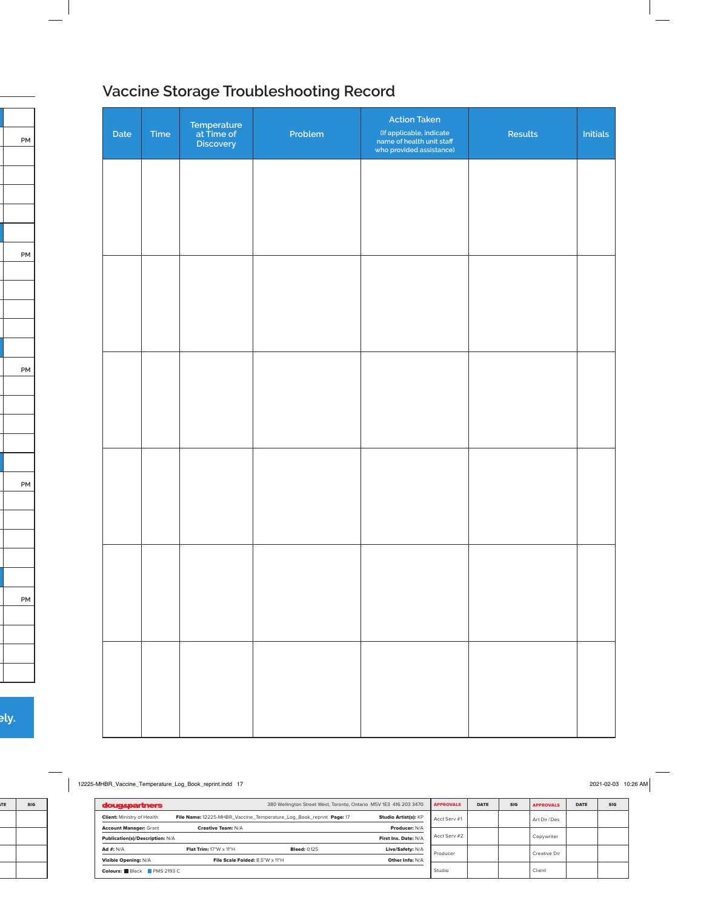# **Vaccine Storage Troubleshooting Record**

| Date | Time | Temperature<br>at Time of<br>Discovery | Problem | <b>Action Taken</b><br>(If applicable, indicate<br>name of health unit staff<br>who provided assistance) | Results | Initials |
|------|------|----------------------------------------|---------|----------------------------------------------------------------------------------------------------------|---------|----------|
|      |      |                                        |         |                                                                                                          |         |          |
|      |      |                                        |         |                                                                                                          |         |          |
|      |      |                                        |         |                                                                                                          |         |          |
|      |      |                                        |         |                                                                                                          |         |          |
|      |      |                                        |         |                                                                                                          |         |          |
|      |      |                                        |         |                                                                                                          |         |          |
|      |      |                                        |         |                                                                                                          |         |          |
|      |      |                                        |         |                                                                                                          |         |          |
|      |      |                                        |         |                                                                                                          |         |          |
|      |      |                                        |         |                                                                                                          |         |          |
|      |      |                                        |         |                                                                                                          |         |          |
|      |      |                                        |         |                                                                                                          |         |          |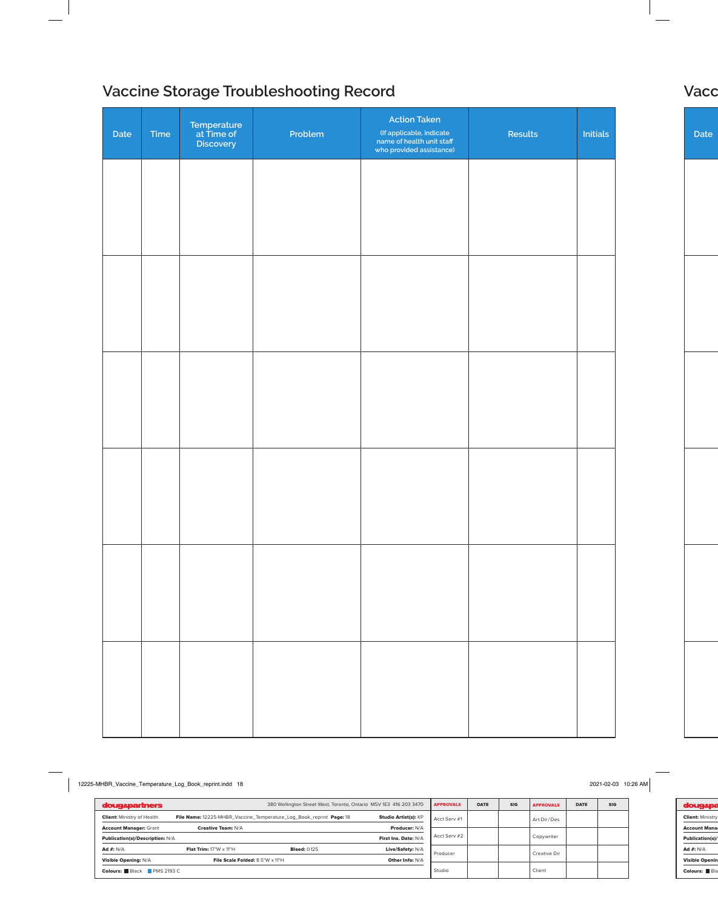# **Vaccine Storage Troubleshooting Record Vaccine Storage Troubleshooting Record**

| Date | Time | Temperature<br>at Time of<br>Discovery | Problem | <b>Action Taken</b><br>(If applicable, indicate<br>name of health unit staff<br>who provided assistance) | Results | <b>Initials</b> |
|------|------|----------------------------------------|---------|----------------------------------------------------------------------------------------------------------|---------|-----------------|
|      |      |                                        |         |                                                                                                          |         |                 |
|      |      |                                        |         |                                                                                                          |         |                 |
|      |      |                                        |         |                                                                                                          |         |                 |
|      |      |                                        |         |                                                                                                          |         |                 |
|      |      |                                        |         |                                                                                                          |         |                 |
|      |      |                                        |         |                                                                                                          |         |                 |
|      |      |                                        |         |                                                                                                          |         |                 |
|      |      |                                        |         |                                                                                                          |         |                 |
|      |      |                                        |         |                                                                                                          |         |                 |
|      |      |                                        |         |                                                                                                          |         |                 |
|      |      |                                        |         |                                                                                                          |         |                 |
|      |      |                                        |         |                                                                                                          |         |                 |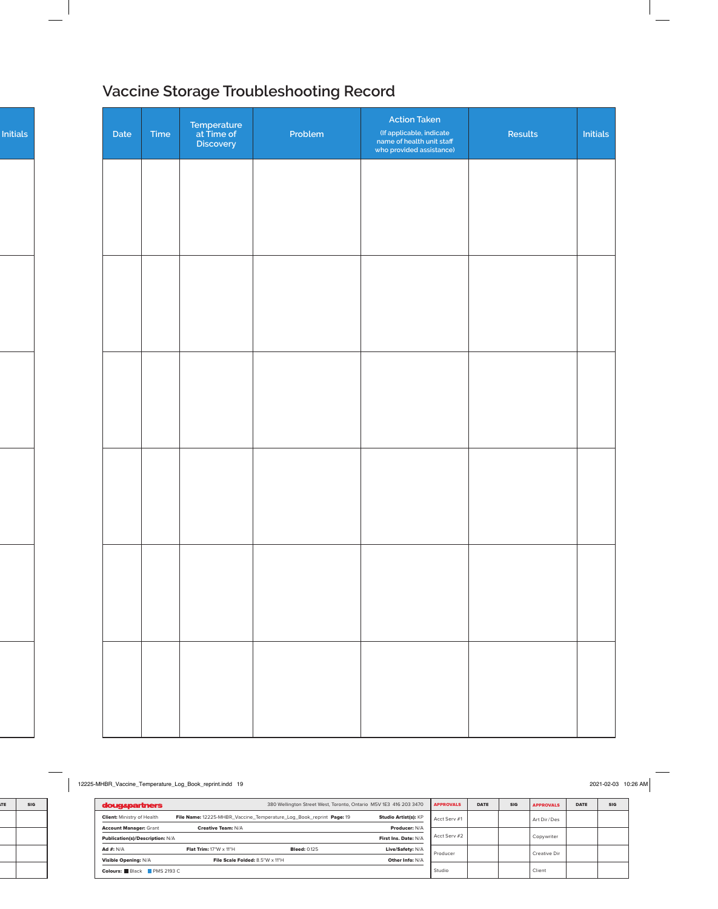# **Vaccine Storage Troubleshooting Record Vaccine Storage Troubleshooting Record**

| Date | Time | Temperature<br>at Time of<br>Discovery | Problem | <b>Action Taken</b><br>(If applicable, indicate<br>name of health unit staff<br>who provided assistance) | Results | Initials |
|------|------|----------------------------------------|---------|----------------------------------------------------------------------------------------------------------|---------|----------|
|      |      |                                        |         |                                                                                                          |         |          |
|      |      |                                        |         |                                                                                                          |         |          |
|      |      |                                        |         |                                                                                                          |         |          |
|      |      |                                        |         |                                                                                                          |         |          |
|      |      |                                        |         |                                                                                                          |         |          |
|      |      |                                        |         |                                                                                                          |         |          |
|      |      |                                        |         |                                                                                                          |         |          |
|      |      |                                        |         |                                                                                                          |         |          |
|      |      |                                        |         |                                                                                                          |         |          |
|      |      |                                        |         |                                                                                                          |         |          |
|      |      |                                        |         |                                                                                                          |         |          |
|      |      |                                        |         |                                                                                                          |         |          |